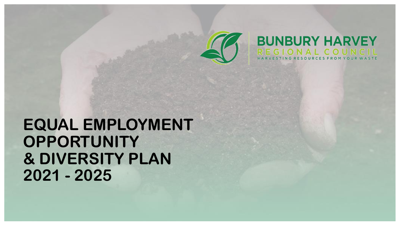

# **BUNBURY HARVEY** AI COU

# **EQUAL EMPLOYMENT OPPORTUNITY & DIVERSITY PLAN 2021 - 2025**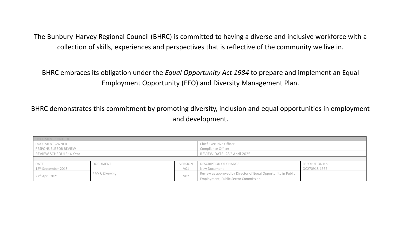The Bunbury-Harvey Regional Council (BHRC) is committed to having a diverse and inclusive workforce with a collection of skills, experiences and perspectives that is reflective of the community we live in.

BHRC embraces its obligation under the *Equal Opportunity Act 1984* to prepare and implement an Equal Employment Opportunity (EEO) and Diversity Management Plan.

BHRC demonstrates this commitment by promoting diversity, inclusion and equal opportunities in employment and development.

| DOCUMENT CONTROL                |                 |                                          |                                                               |                |  |
|---------------------------------|-----------------|------------------------------------------|---------------------------------------------------------------|----------------|--|
| DOCUMENT OWNER                  |                 | Chief Executive Officer                  |                                                               |                |  |
| RESPONSIBLE FOR REVIEW          |                 | Compliance Officer                       |                                                               |                |  |
| REVIEW SCHEDULE: 4 Year         |                 | REVIEW DATE: 28 <sup>th</sup> April 2025 |                                                               |                |  |
|                                 |                 |                                          |                                                               |                |  |
| <b>DATE</b>                     | <b>DOCUMENT</b> | <b>VERSION</b>                           | <b>DESCRIPTION OF CHANGE</b>                                  | RESOLUTION No. |  |
| 12 <sup>th</sup> September 2018 |                 | V <sub>01</sub>                          | New Document                                                  | OC270918-1562  |  |
| 27th April 2021                 | EEO & Diversity | V02                                      | Review as approved by Director of Equal Opportunity in Public |                |  |
|                                 |                 |                                          | Employment, Public Sector Commission.                         |                |  |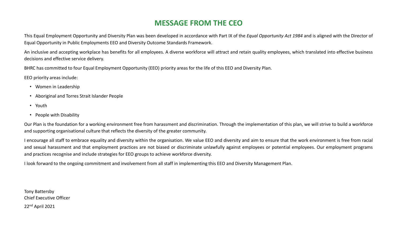# **MESSAGE FROM THE CEO**

This Equal Employment Opportunity and Diversity Plan was been developed in accordance with Part IX of the *Equal Opportunity Act 1984* and is aligned with the Director of Equal Opportunity in Public Employments EEO and Diversity Outcome Standards Framework.

An inclusive and accepting workplace has benefits for all employees. A diverse workforce will attract and retain quality employees, which translated into effective business decisions and effective service delivery.

BHRC has committed to four Equal Employment Opportunity (EEO) priority areas for the life of this EEO and Diversity Plan.

EEO priority areas include:

- Women in Leadership
- Aboriginal and Torres Strait Islander People
- Youth
- People with Disability

Our Plan is the foundation for a working environment free from harassment and discrimination. Through the implementation of this plan, we will strive to build a workforce and supporting organisational culture that reflects the diversity of the greater community.

I encourage all staff to embrace equality and diversity within the organisation. We value EEO and diversity and aim to ensure that the work environment is free from racial and sexual harassment and that employment practices are not biased or discriminate unlawfully against employees or potential employees. Our employment programs and practices recognise and include strategies for EEO groups to achieve workforce diversity.

I look forward to the ongoing commitment and involvement from all staff in implementing this EEO and Diversity Management Plan.

Tony Battersby Chief Executive Officer 22nd April 2021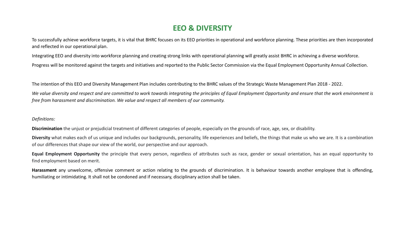# **EEO & DIVERSITY**

To successfully achieve workforce targets, it is vital that BHRC focuses on its EEO priorities in operational and workforce planning. These priorities are then incorporated and reflected in our operational plan.

Integrating EEO and diversity into workforce planning and creating strong links with operational planning will greatly assist BHRC in achieving a diverse workforce. Progress will be monitored against the targets and initiatives and reported to the Public Sector Commission via the Equal Employment Opportunity Annual Collection.

The intention of this EEO and Diversity Management Plan includes contributing to the BHRC values of the Strategic Waste Management Plan 2018 - 2022.

We value diversity and respect and are committed to work towards integrating the principles of Equal Employment Opportunity and ensure that the work environment is *free from harassment and discrimination. We value and respect all members of our community.*

### *Definitions:*

**Discrimination** the unjust or prejudicial treatment of different categories of people, especially on the grounds of race, age, sex, or disability.

**Diversity** what makes each of us unique and includes our backgrounds, personality, life experiences and beliefs, the things that make us who we are. It is a combination of our differences that shape our view of the world, our perspective and our approach.

**Equal Employment Opportunity** the principle that every person, regardless of attributes such as race, gender or sexual orientation, has an equal opportunity to find employment based on merit.

**Harassment** any unwelcome, offensive comment or action relating to the grounds of discrimination. It is behaviour towards another employee that is offending, humiliating or intimidating. It shall not be condoned and if necessary, disciplinary action shall be taken.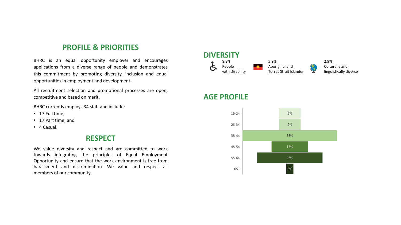## **PROFILE & PRIORITIES**

BHRC is an equal opportunity employer and encourages applications from a diverse range of people and demonstrates this commitment by promoting diversity, inclusion and equal opportunities in employment and development.

All recruitment selection and promotional processes are open, competitive and based on merit.

BHRC currently employs 34 staff and include:

- 17 Full time;
- 17 Part time; and
- 4 Casual.

### **RESPECT**

We value diversity and respect and are committed to work towards integrating the principles of Equal Employment Opportunity and ensure that the work environment is free from harassment and discrimination. We value and respect all members of our community.

#### **DIVERSITY** 8.8% People with disability 5.9% Aboriginal and Torres Strait Islander 2.9% Culturally and linguistically diverse

# **AGE PROFILE**

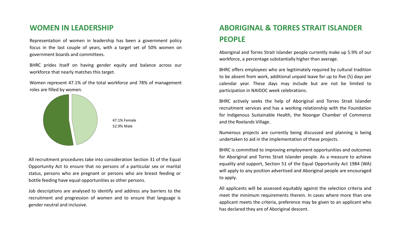## **WOMEN IN LEADERSHIP**

Representation of women in leadership has been a government policy focus in the last couple of years, with a target set of 50% women on government boards and committees.

BHRC prides itself on having gender equity and balance across our workforce that nearly matches this target.

Women represent 47.1% of the total workforce and 78% of management roles are filled by women.





All recruitment procedures take into consideration Section 31 of the Equal Opportunity Act to ensure that no persons of a particular sex or marital status, persons who are pregnant or persons who are breast feeding or bottle feeding have equal opportunities as other persons.

Job descriptions are analysed to identify and address any barriers to the recruitment and progression of women and to ensure that language is gender neutral and inclusive.

# **ABORIGINAL & TORRES STRAIT ISLANDER PEOPLE**

Aboriginal and Torres Strait Islander people currently make up 5.9% of our workforce, a percentage substantially higher than average.

BHRC offers employees who are legitimately required by cultural tradition to be absent from work, additional unpaid leave for up to five (5) days per calendar year. These days may include but are not be limited to participation in NAIDOC week celebrations.

BHRC actively seeks the help of Aboriginal and Torres Strait Islander recruitment services and has a working relationship with the Foundation for Indigenous Sustainable Health, the Noongar Chamber of Commerce and the Roelands Village.

Numerous projects are currently being discussed and planning is being undertaken to aid in the implementation of these projects.

BHRC is committed to improving employment opportunities and outcomes for Aboriginal and Torres Strait Islander people. As a measure to achieve equality and support, Section 51 of the Equal Opportunity Act 1984 (WA) will apply to any position advertised and Aboriginal people are encouraged to apply.

All applicants will be assessed equitably against the selection criteria and meet the minimum requirements therein. In cases where more than one applicant meets the criteria, preference may be given to an applicant who has declared they are of Aboriginal descent.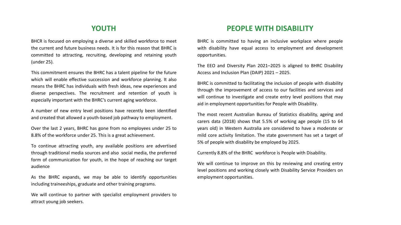# **YOUTH**

BHCR is focused on employing a diverse and skilled workforce to meet the current and future business needs. It is for this reason that BHRC is committed to attracting, recruiting, developing and retaining youth (under 25).

This commitment ensures the BHRC has a talent pipeline for the future which will enable effective succession and workforce planning. It also means the BHRC has individuals with fresh ideas, new experiences and diverse perspectives. The recruitment and retention of youth is especially important with the BHRC's current aging workforce.

A number of new entry level positions have recently been identified and created that allowed a youth-based job pathway to employment.

Over the last 2 years, BHRC has gone from no employees under 25 to 8.8% of the workforce under 25. This is a great achievement.

To continue attracting youth, any available positions are advertised through traditional media sources and also social media, the preferred form of communication for youth, in the hope of reaching our target audience

As the BHRC expands, we may be able to identify opportunities including traineeships, graduate and other training programs.

We will continue to partner with specialist employment providers to attract young job seekers.

# **PEOPLE WITH DISABILITY**

BHRC is committed to having an inclusive workplace where people with disability have equal access to employment and development opportunities.

The EEO and Diversity Plan 2021–2025 is aligned to BHRC Disability Access and Inclusion Plan (DAIP) 2021 – 2025.

BHRC is committed to facilitating the inclusion of people with disability through the improvement of access to our facilities and services and will continue to investigate and create entry level positions that may aid in employment opportunities for People with Disability.

The most recent Australian Bureau of Statistics disability, ageing and carers data (2018) shows that 5.5% of working age people (15 to 64 years old) in Western Australia are considered to have a moderate or mild core activity limitation. The state government has set a target of 5% of people with disability be employed by 2025.

Currently 8.8% of the BHRC workforce is People with Disability.

We will continue to improve on this by reviewing and creating entry level positions and working closely with Disability Service Providers on employment opportunities.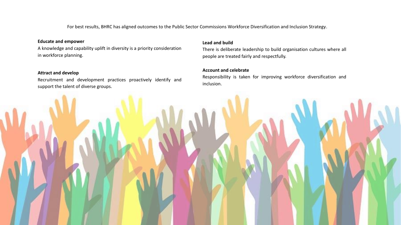For best results, BHRC has aligned outcomes to the Public Sector Commissions Workforce Diversification and Inclusion Strategy.

### **Educate and empower**

A knowledge and capability uplift in diversity is a priority consideration in workforce planning.

### **Attract and develop**

Recruitment and development practices proactively identify and support the talent of diverse groups.

### **Lead and build**

There is deliberate leadership to build organisation cultures where all people are treated fairly and respectfully.

### **Account and celebrate**

Responsibility is taken for improving workforce diversification and inclusion.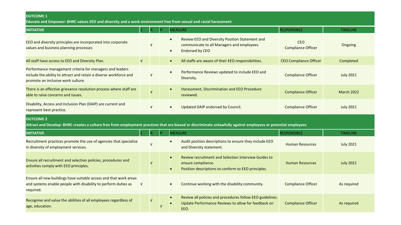### **OUTCOME 1**

Educate and Empower: BHRC values EEO and diversity and a work environment free from sexual and racial harassment

| <b>INITIATIVE</b>                                                                                                                                                                  |            |            |  | <b>MEASURE</b>                                                                                                                                              | <b>RESPONSIBLE</b>                      | <b>TIMELINE</b>   |  |  |
|------------------------------------------------------------------------------------------------------------------------------------------------------------------------------------|------------|------------|--|-------------------------------------------------------------------------------------------------------------------------------------------------------------|-----------------------------------------|-------------------|--|--|
| EEO and diversity principles are incorporated into corporate<br>values and business planning processes                                                                             |            | $\sqrt{ }$ |  | Review EEO and Diversity Position Statement and<br>$\bullet$<br>communicate to all Managers and employees.<br><b>Endorsed by CEO</b><br>$\bullet$           | <b>CEO</b><br><b>Compliance Officer</b> | Ongoing           |  |  |
| All staff have access to EEO and Diversity Plan.                                                                                                                                   | $\sqrt{ }$ |            |  | All staffs are aware of their EEO responsibilities.<br>$\bullet$                                                                                            | <b>CEO Compliance Officer</b>           | Completed         |  |  |
| Performance management criteria for managers and leaders<br>include the ability to attract and retain a diverse workforce and<br>promote an inclusive work culture.                |            | $\sqrt{ }$ |  | Performance Reviews updated to include EEO and<br>$\bullet$<br>Diversity.                                                                                   | <b>Compliance Officer</b>               | <b>July 2021</b>  |  |  |
| There is an effective grievance resolution process where staff are<br>able to raise concerns and issues.                                                                           |            | $\sqrt{ }$ |  | Harassment, Discrimination and EEO Procedure<br>$\bullet$<br>reviewed.                                                                                      | <b>Compliance Officer</b>               | <b>March 2022</b> |  |  |
| Disability, Access and Inclusion Plan (DAIP) are current and<br>represent best practice.                                                                                           |            | $\sqrt{ }$ |  | Updated DAIP endorsed by Council.<br>$\bullet$                                                                                                              | <b>Compliance Officer</b>               | <b>July 2021</b>  |  |  |
| <b>OUTCOME 2</b><br>Attract and Develop: BHRC creates a culture free from employment practices that are biased or discriminate unlawfully against employees or potential employees |            |            |  |                                                                                                                                                             |                                         |                   |  |  |
| <b>INITIATIVE</b>                                                                                                                                                                  |            |            |  | <b>MEASURE</b>                                                                                                                                              | <b>RESPONSIBLE</b>                      | <b>TIMELINE</b>   |  |  |
| Recruitment practices promote the use of agencies that specialize<br>in diversity of employment services.                                                                          |            | $\sqrt{ }$ |  | Audit position descriptions to ensure they include EEO<br>and Diversity statement.                                                                          | <b>Human Resources</b>                  | <b>July 2021</b>  |  |  |
| Ensure all recruitment and selection policies, procedures and<br>activities comply with EEO principles.                                                                            |            | $\sqrt{ }$ |  | Review recruitment and Selection Interview Guides to<br>$\bullet$<br>ensure compliance.<br>Position descriptions to conform to EEO principles.<br>$\bullet$ | <b>Human Resources</b>                  | <b>July 2021</b>  |  |  |
| Ensure all new buildings have suitable access and that work areas<br>and systems enable people with disability to perform duties as<br>required.                                   |            |            |  | Continue working with the disability community.<br>$\bullet$                                                                                                | <b>Compliance Officer</b>               | As required       |  |  |
| Recognise and value the abilities of all employees regardless of<br>age, education.                                                                                                |            | $\sqrt{ }$ |  | Review all policies and procedures follow EEO guidelines.<br>$\bullet$<br>Update Performance Reviews to allow for feedback on<br>$\bullet$<br>EEO.          | <b>Compliance Officer</b>               | As required       |  |  |